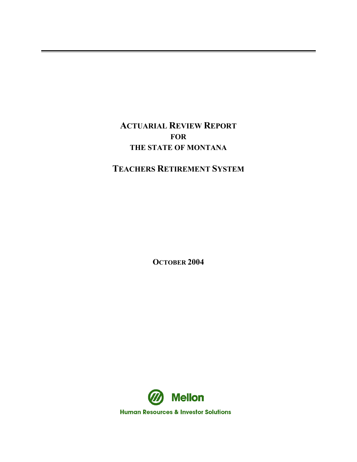**ACTUARIAL REVIEW REPORT FOR THE STATE OF MONTANA**

**TEACHERS RETIREMENT SYSTEM**

**OCTOBER 2004** 

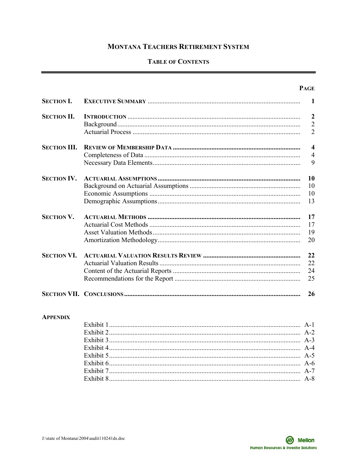# **MONTANA TEACHERS RETIREMENT SYSTEM**

# **TABLE OF CONTENTS**

|                     | <b>PAGE</b>             |
|---------------------|-------------------------|
| <b>SECTION I.</b>   | 1                       |
| <b>SECTION II.</b>  | $\overline{2}$          |
|                     | $\overline{2}$          |
|                     | $\overline{2}$          |
| <b>SECTION III.</b> | $\overline{\mathbf{4}}$ |
|                     | $\overline{4}$          |
|                     | 9                       |
| <b>SECTION IV.</b>  | 10                      |
|                     | 10                      |
|                     | 10                      |
|                     | 13                      |
| <b>SECTION V.</b>   | 17                      |
|                     | 17                      |
|                     | 19                      |
|                     | 20                      |
| <b>SECTION VI.</b>  | 22                      |
|                     | 22                      |
|                     | 24                      |
|                     | 25                      |
|                     | 26                      |

#### **APPENDIX**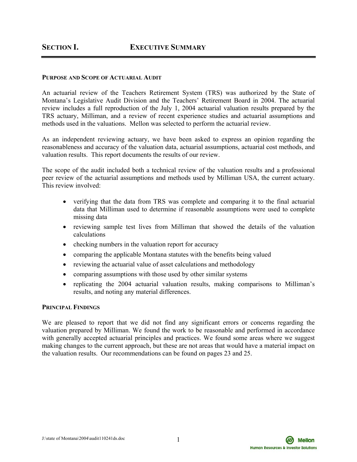#### **PURPOSE AND SCOPE OF ACTUARIAL AUDIT**

An actuarial review of the Teachers Retirement System (TRS) was authorized by the State of Montana's Legislative Audit Division and the Teachers' Retirement Board in 2004. The actuarial review includes a full reproduction of the July 1, 2004 actuarial valuation results prepared by the TRS actuary, Milliman, and a review of recent experience studies and actuarial assumptions and methods used in the valuations. Mellon was selected to perform the actuarial review.

As an independent reviewing actuary, we have been asked to express an opinion regarding the reasonableness and accuracy of the valuation data, actuarial assumptions, actuarial cost methods, and valuation results.This report documents the results of our review.

The scope of the audit included both a technical review of the valuation results and a professional peer review of the actuarial assumptions and methods used by Milliman USA, the current actuary. This review involved:

- verifying that the data from TRS was complete and comparing it to the final actuarial data that Milliman used to determine if reasonable assumptions were used to complete missing data
- reviewing sample test lives from Milliman that showed the details of the valuation calculations
- checking numbers in the valuation report for accuracy
- comparing the applicable Montana statutes with the benefits being valued
- reviewing the actuarial value of asset calculations and methodology
- comparing assumptions with those used by other similar systems
- replicating the 2004 actuarial valuation results, making comparisons to Milliman's results, and noting any material differences.

#### **PRINCIPAL FINDINGS**

We are pleased to report that we did not find any significant errors or concerns regarding the valuation prepared by Milliman. We found the work to be reasonable and performed in accordance with generally accepted actuarial principles and practices. We found some areas where we suggest making changes to the current approach, but these are not areas that would have a material impact on the valuation results. Our recommendations can be found on pages 23 and 25.



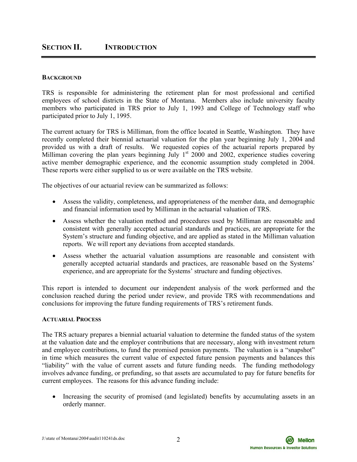### **BACKGROUND**

TRS is responsible for administering the retirement plan for most professional and certified employees of school districts in the State of Montana. Members also include university faculty members who participated in TRS prior to July 1, 1993 and College of Technology staff who participated prior to July 1, 1995.

The current actuary for TRS is Milliman, from the office located in Seattle, Washington. They have recently completed their biennial actuarial valuation for the plan year beginning July 1, 2004 and provided us with a draft of results. We requested copies of the actuarial reports prepared by Milliman covering the plan years beginning July  $1<sup>st</sup>$  2000 and 2002, experience studies covering active member demographic experience, and the economic assumption study completed in 2004. These reports were either supplied to us or were available on the TRS website.

The objectives of our actuarial review can be summarized as follows:

- Assess the validity, completeness, and appropriateness of the member data, and demographic and financial information used by Milliman in the actuarial valuation of TRS.
- Assess whether the valuation method and procedures used by Milliman are reasonable and consistent with generally accepted actuarial standards and practices, are appropriate for the System's structure and funding objective, and are applied as stated in the Milliman valuation reports. We will report any deviations from accepted standards.
- Assess whether the actuarial valuation assumptions are reasonable and consistent with generally accepted actuarial standards and practices, are reasonable based on the Systems' experience, and are appropriate for the Systems' structure and funding objectives.

This report is intended to document our independent analysis of the work performed and the conclusion reached during the period under review, and provide TRS with recommendations and conclusions for improving the future funding requirements of TRS's retirement funds.

#### **ACTUARIAL PROCESS**

The TRS actuary prepares a biennial actuarial valuation to determine the funded status of the system at the valuation date and the employer contributions that are necessary, along with investment return and employee contributions, to fund the promised pension payments. The valuation is a "snapshot" in time which measures the current value of expected future pension payments and balances this "liability" with the value of current assets and future funding needs. The funding methodology involves advance funding, or prefunding, so that assets are accumulated to pay for future benefits for current employees. The reasons for this advance funding include:

• Increasing the security of promised (and legislated) benefits by accumulating assets in an orderly manner.

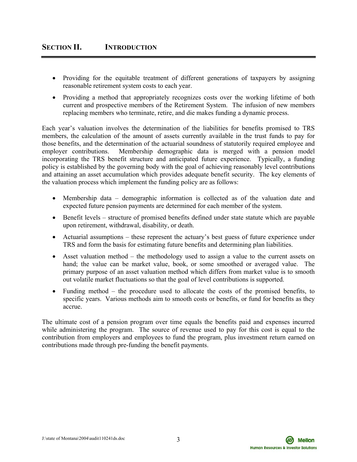- Providing for the equitable treatment of different generations of taxpayers by assigning reasonable retirement system costs to each year.
- Providing a method that appropriately recognizes costs over the working lifetime of both current and prospective members of the Retirement System. The infusion of new members replacing members who terminate, retire, and die makes funding a dynamic process.

Each year's valuation involves the determination of the liabilities for benefits promised to TRS members, the calculation of the amount of assets currently available in the trust funds to pay for those benefits, and the determination of the actuarial soundness of statutorily required employee and employer contributions. Membership demographic data is merged with a pension model incorporating the TRS benefit structure and anticipated future experience. Typically, a funding policy is established by the governing body with the goal of achieving reasonably level contributions and attaining an asset accumulation which provides adequate benefit security. The key elements of the valuation process which implement the funding policy are as follows:

- Membership data demographic information is collected as of the valuation date and expected future pension payments are determined for each member of the system.
- Benefit levels structure of promised benefits defined under state statute which are payable upon retirement, withdrawal, disability, or death.
- Actuarial assumptions these represent the actuary's best guess of future experience under TRS and form the basis for estimating future benefits and determining plan liabilities.
- Asset valuation method the methodology used to assign a value to the current assets on hand; the value can be market value, book, or some smoothed or averaged value. The primary purpose of an asset valuation method which differs from market value is to smooth out volatile market fluctuations so that the goal of level contributions is supported.
- Funding method the procedure used to allocate the costs of the promised benefits, to specific years. Various methods aim to smooth costs or benefits, or fund for benefits as they accrue.

The ultimate cost of a pension program over time equals the benefits paid and expenses incurred while administering the program. The source of revenue used to pay for this cost is equal to the contribution from employers and employees to fund the program, plus investment return earned on contributions made through pre-funding the benefit payments.

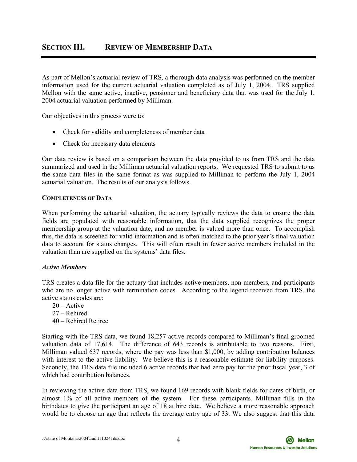As part of Mellon's actuarial review of TRS, a thorough data analysis was performed on the member information used for the current actuarial valuation completed as of July 1, 2004. TRS supplied Mellon with the same active, inactive, pensioner and beneficiary data that was used for the July 1, 2004 actuarial valuation performed by Milliman.

Our objectives in this process were to:

- Check for validity and completeness of member data
- Check for necessary data elements

Our data review is based on a comparison between the data provided to us from TRS and the data summarized and used in the Milliman actuarial valuation reports. We requested TRS to submit to us the same data files in the same format as was supplied to Milliman to perform the July 1, 2004 actuarial valuation. The results of our analysis follows.

# **COMPLETENESS OF DATA**

When performing the actuarial valuation, the actuary typically reviews the data to ensure the data fields are populated with reasonable information, that the data supplied recognizes the proper membership group at the valuation date, and no member is valued more than once. To accomplish this, the data is screened for valid information and is often matched to the prior year's final valuation data to account for status changes. This will often result in fewer active members included in the valuation than are supplied on the systems' data files.

# *Active Members*

TRS creates a data file for the actuary that includes active members, non-members, and participants who are no longer active with termination codes. According to the legend received from TRS, the active status codes are:

- 20 Active
- 27 Rehired
- 40 Rehired Retiree

Starting with the TRS data, we found 18,257 active records compared to Milliman's final groomed valuation data of 17,614. The difference of 643 records is attributable to two reasons. First, Milliman valued 637 records, where the pay was less than \$1,000, by adding contribution balances with interest to the active liability. We believe this is a reasonable estimate for liability purposes. Secondly, the TRS data file included 6 active records that had zero pay for the prior fiscal year, 3 of which had contribution balances.

In reviewing the active data from TRS, we found 169 records with blank fields for dates of birth, or almost 1% of all active members of the system. For these participants, Milliman fills in the birthdates to give the participant an age of 18 at hire date. We believe a more reasonable approach would be to choose an age that reflects the average entry age of 33. We also suggest that this data

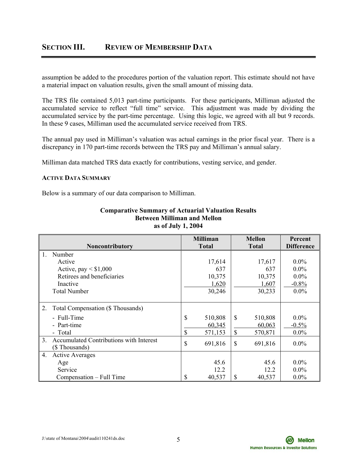# **SECTION III. REVIEW OF MEMBERSHIP DATA**

assumption be added to the procedures portion of the valuation report. This estimate should not have a material impact on valuation results, given the small amount of missing data.

The TRS file contained 5,013 part-time participants. For these participants, Milliman adjusted the accumulated service to reflect "full time" service. This adjustment was made by dividing the accumulated service by the part-time percentage. Using this logic, we agreed with all but 9 records. In these 9 cases, Milliman used the accumulated service received from TRS.

The annual pay used in Milliman's valuation was actual earnings in the prior fiscal year. There is a discrepancy in 170 part-time records between the TRS pay and Milliman's annual salary.

Milliman data matched TRS data exactly for contributions, vesting service, and gender.

### **ACTIVE DATA SUMMARY**

Below is a summary of our data comparison to Milliman.

|                                                           | <b>Milliman</b> | <b>Mellon</b>           | Percent           |
|-----------------------------------------------------------|-----------------|-------------------------|-------------------|
| <b>Noncontributory</b>                                    | <b>Total</b>    | <b>Total</b>            | <b>Difference</b> |
| $\mathbf{1}$ .<br>Number                                  |                 |                         |                   |
| Active                                                    | 17,614          | 17,617                  | $0.0\%$           |
| Active, pay $\leq$ \$1,000                                | 637             | 637                     | $0.0\%$           |
| Retirees and beneficiaries                                | 10,375          | 10,375                  | $0.0\%$           |
| Inactive                                                  | 1,620           | 1,607                   | $-0.8\%$          |
| <b>Total Number</b>                                       | 30,246          | 30,233                  | $0.0\%$           |
|                                                           |                 |                         |                   |
| Total Compensation (\$ Thousands)<br>2.                   |                 |                         |                   |
| - Full-Time                                               | \$<br>510,808   | $\mathbb{S}$<br>510,808 | $0.0\%$           |
| - Part-time                                               | 60,345          | 60,063                  | $-0.5%$           |
| - Total                                                   | \$<br>571,153   | \$<br>570,871           | $0.0\%$           |
| Accumulated Contributions with Interest<br>3 <sub>1</sub> |                 |                         |                   |
| (\$ Thousands)                                            | \$<br>691,816   | \$<br>691,816           | $0.0\%$           |
| <b>Active Averages</b><br>4.                              |                 |                         |                   |
| Age                                                       | 45.6            | 45.6                    | $0.0\%$           |
| Service                                                   | 12.2            | 12.2                    | $0.0\%$           |
| Compensation – Full Time                                  | \$<br>40,537    | \$<br>40,537            | $0.0\%$           |

### **Comparative Summary of Actuarial Valuation Results Between Milliman and Mellon as of July 1, 2004**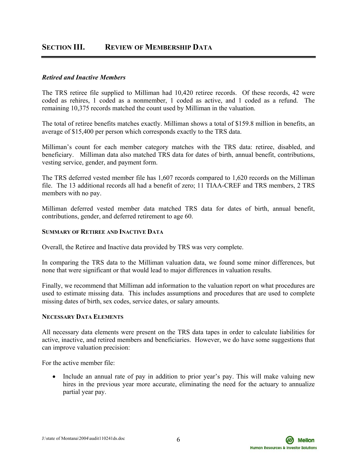# **SECTION III. REVIEW OF MEMBERSHIP DATA**

### *Retired and Inactive Members*

The TRS retiree file supplied to Milliman had 10,420 retiree records. Of these records, 42 were coded as rehires, 1 coded as a nonmember, 1 coded as active, and 1 coded as a refund. The remaining 10,375 records matched the count used by Milliman in the valuation.

The total of retiree benefits matches exactly. Milliman shows a total of \$159.8 million in benefits, an average of \$15,400 per person which corresponds exactly to the TRS data.

Milliman's count for each member category matches with the TRS data: retiree, disabled, and beneficiary. Milliman data also matched TRS data for dates of birth, annual benefit, contributions, vesting service, gender, and payment form.

The TRS deferred vested member file has 1,607 records compared to 1,620 records on the Milliman file. The 13 additional records all had a benefit of zero; 11 TIAA-CREF and TRS members, 2 TRS members with no pay.

Milliman deferred vested member data matched TRS data for dates of birth, annual benefit, contributions, gender, and deferred retirement to age 60.

#### **SUMMARY OF RETIREE AND INACTIVE DATA**

Overall, the Retiree and Inactive data provided by TRS was very complete.

In comparing the TRS data to the Milliman valuation data, we found some minor differences, but none that were significant or that would lead to major differences in valuation results.

Finally, we recommend that Milliman add information to the valuation report on what procedures are used to estimate missing data. This includes assumptions and procedures that are used to complete missing dates of birth, sex codes, service dates, or salary amounts.

#### **NECESSARY DATA ELEMENTS**

All necessary data elements were present on the TRS data tapes in order to calculate liabilities for active, inactive, and retired members and beneficiaries. However, we do have some suggestions that can improve valuation precision:

For the active member file:

• Include an annual rate of pay in addition to prior year's pay. This will make valuing new hires in the previous year more accurate, eliminating the need for the actuary to annualize partial year pay.

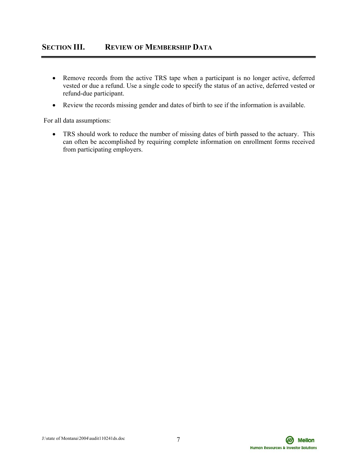- Remove records from the active TRS tape when a participant is no longer active, deferred vested or due a refund. Use a single code to specify the status of an active, deferred vested or refund-due participant.
- Review the records missing gender and dates of birth to see if the information is available.

For all data assumptions:

• TRS should work to reduce the number of missing dates of birth passed to the actuary. This can often be accomplished by requiring complete information on enrollment forms received from participating employers.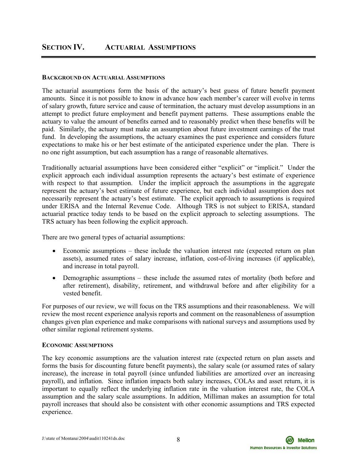# **SECTION IV. ACTUARIAL ASSUMPTIONS**

#### **BACKGROUND ON ACTUARIAL ASSUMPTIONS**

The actuarial assumptions form the basis of the actuary's best guess of future benefit payment amounts. Since it is not possible to know in advance how each member's career will evolve in terms of salary growth, future service and cause of termination, the actuary must develop assumptions in an attempt to predict future employment and benefit payment patterns. These assumptions enable the actuary to value the amount of benefits earned and to reasonably predict when these benefits will be paid. Similarly, the actuary must make an assumption about future investment earnings of the trust fund. In developing the assumptions, the actuary examines the past experience and considers future expectations to make his or her best estimate of the anticipated experience under the plan. There is no one right assumption, but each assumption has a range of reasonable alternatives.

Traditionally actuarial assumptions have been considered either "explicit" or "implicit." Under the explicit approach each individual assumption represents the actuary's best estimate of experience with respect to that assumption. Under the implicit approach the assumptions in the aggregate represent the actuary's best estimate of future experience, but each individual assumption does not necessarily represent the actuary's best estimate. The explicit approach to assumptions is required under ERISA and the Internal Revenue Code. Although TRS is not subject to ERISA, standard actuarial practice today tends to be based on the explicit approach to selecting assumptions. The TRS actuary has been following the explicit approach.

There are two general types of actuarial assumptions:

- Economic assumptions these include the valuation interest rate (expected return on plan assets), assumed rates of salary increase, inflation, cost-of-living increases (if applicable), and increase in total payroll.
- Demographic assumptions these include the assumed rates of mortality (both before and after retirement), disability, retirement, and withdrawal before and after eligibility for a vested benefit.

For purposes of our review, we will focus on the TRS assumptions and their reasonableness. We will review the most recent experience analysis reports and comment on the reasonableness of assumption changes given plan experience and make comparisons with national surveys and assumptions used by other similar regional retirement systems.

#### **ECONOMIC ASSUMPTIONS**

The key economic assumptions are the valuation interest rate (expected return on plan assets and forms the basis for discounting future benefit payments), the salary scale (or assumed rates of salary increase), the increase in total payroll (since unfunded liabilities are amortized over an increasing payroll), and inflation. Since inflation impacts both salary increases, COLAs and asset return, it is important to equally reflect the underlying inflation rate in the valuation interest rate, the COLA assumption and the salary scale assumptions. In addition, Milliman makes an assumption for total payroll increases that should also be consistent with other economic assumptions and TRS expected experience.

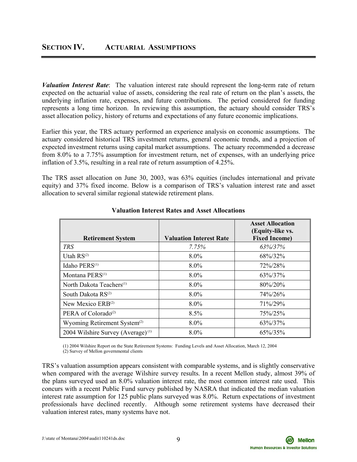*Valuation Interest Rate*: The valuation interest rate should represent the long-term rate of return expected on the actuarial value of assets, considering the real rate of return on the plan's assets, the underlying inflation rate, expenses, and future contributions. The period considered for funding represents a long time horizon. In reviewing this assumption, the actuary should consider TRS's asset allocation policy, history of returns and expectations of any future economic implications.

Earlier this year, the TRS actuary performed an experience analysis on economic assumptions. The actuary considered historical TRS investment returns, general economic trends, and a projection of expected investment returns using capital market assumptions. The actuary recommended a decrease from 8.0% to a 7.75% assumption for investment return, net of expenses, with an underlying price inflation of 3.5%, resulting in a real rate of return assumption of 4.25%.

The TRS asset allocation on June 30, 2003, was 63% equities (includes international and private equity) and 37% fixed income. Below is a comparison of TRS's valuation interest rate and asset allocation to several similar regional statewide retirement plans.

|                                               |                                | <b>Asset Allocation</b><br>(Equity-like vs. |
|-----------------------------------------------|--------------------------------|---------------------------------------------|
| <b>Retirement System</b>                      | <b>Valuation Interest Rate</b> | <b>Fixed Income)</b>                        |
| <b>TRS</b>                                    | 7.75%                          | 63%/37%                                     |
| Utah $RS^{(2)}$                               | $8.0\%$                        | 68%/32%                                     |
| Idaho PERS <sup>(1)</sup>                     | 8.0%                           | 72%/28%                                     |
| Montana PERS <sup>(1)</sup>                   | 8.0%                           | 63%/37%                                     |
| North Dakota Teachers <sup>(1)</sup>          | 8.0%                           | $80\%/20\%$                                 |
| South Dakota $RS^{(2)}$                       | 8.0%                           | $74\%/26\%$                                 |
| New Mexico $ERB^{(2)}$                        | $8.0\%$                        | 71%/29%                                     |
| PERA of Colorado <sup>(2)</sup>               | 8.5%                           | 75%/25%                                     |
| Wyoming Retirement System <sup>(2)</sup>      | $8.0\%$                        | 63%/37%                                     |
| 2004 Wilshire Survey (Average) <sup>(1)</sup> | 8.0%                           | 65%/35%                                     |

# **Valuation Interest Rates and Asset Allocations**

 (1) 2004 Wilshire Report on the State Retirement Systems: Funding Levels and Asset Allocation, March 12, 2004 (2) Survey of Mellon governmental clients

TRS's valuation assumption appears consistent with comparable systems, and is slightly conservative when compared with the average Wilshire survey results. In a recent Mellon study, almost 39% of the plans surveyed used an 8.0% valuation interest rate, the most common interest rate used. This concurs with a recent Public Fund survey published by NASRA that indicated the median valuation interest rate assumption for 125 public plans surveyed was 8.0%. Return expectations of investment professionals have declined recently. Although some retirement systems have decreased their valuation interest rates, many systems have not.

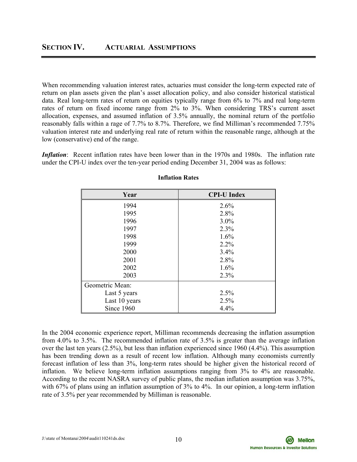When recommending valuation interest rates, actuaries must consider the long-term expected rate of return on plan assets given the plan's asset allocation policy, and also consider historical statistical data. Real long-term rates of return on equities typically range from 6% to 7% and real long-term rates of return on fixed income range from 2% to 3%. When considering TRS's current asset allocation, expenses, and assumed inflation of 3.5% annually, the nominal return of the portfolio reasonably falls within a rage of 7.7% to 8.7%. Therefore, we find Milliman's recommended 7.75% valuation interest rate and underlying real rate of return within the reasonable range, although at the low (conservative) end of the range.

*Inflation*: Recent inflation rates have been lower than in the 1970s and 1980s. The inflation rate under the CPI-U index over the ten-year period ending December 31, 2004 was as follows:

| Year            | <b>CPI-U Index</b> |
|-----------------|--------------------|
| 1994            | 2.6%               |
| 1995            | 2.8%               |
| 1996            | $3.0\%$            |
| 1997            | 2.3%               |
| 1998            | 1.6%               |
| 1999            | $2.2\%$            |
| 2000            | 3.4%               |
| 2001            | 2.8%               |
| 2002            | 1.6%               |
| 2003            | 2.3%               |
| Geometric Mean: |                    |
| Last 5 years    | 2.5%               |
| Last 10 years   | 2.5%               |
| Since 1960      | 4.4%               |

# **Inflation Rates**

In the 2004 economic experience report, Milliman recommends decreasing the inflation assumption from 4.0% to 3.5%. The recommended inflation rate of 3.5% is greater than the average inflation over the last ten years (2.5%), but less than inflation experienced since 1960 (4.4%). This assumption has been trending down as a result of recent low inflation. Although many economists currently forecast inflation of less than 3%, long-term rates should be higher given the historical record of inflation. We believe long-term inflation assumptions ranging from 3% to 4% are reasonable. According to the recent NASRA survey of public plans, the median inflation assumption was 3.75%, with 67% of plans using an inflation assumption of 3% to 4%. In our opinion, a long-term inflation rate of 3.5% per year recommended by Milliman is reasonable.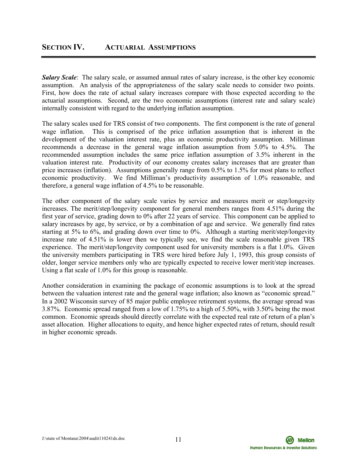*Salary Scale*: The salary scale, or assumed annual rates of salary increase, is the other key economic assumption. An analysis of the appropriateness of the salary scale needs to consider two points. First, how does the rate of actual salary increases compare with those expected according to the actuarial assumptions. Second, are the two economic assumptions (interest rate and salary scale) internally consistent with regard to the underlying inflation assumption.

The salary scales used for TRS consist of two components. The first component is the rate of general wage inflation. This is comprised of the price inflation assumption that is inherent in the development of the valuation interest rate, plus an economic productivity assumption. Milliman recommends a decrease in the general wage inflation assumption from 5.0% to 4.5%. The recommended assumption includes the same price inflation assumption of 3.5% inherent in the valuation interest rate. Productivity of our economy creates salary increases that are greater than price increases (inflation). Assumptions generally range from 0.5% to 1.5% for most plans to reflect economic productivity. We find Milliman's productivity assumption of 1.0% reasonable, and therefore, a general wage inflation of 4.5% to be reasonable.

The other component of the salary scale varies by service and measures merit or step/longevity increases. The merit/step/longevity component for general members ranges from 4.51% during the first year of service, grading down to 0% after 22 years of service. This component can be applied to salary increases by age, by service, or by a combination of age and service. We generally find rates starting at 5% to 6%, and grading down over time to 0%. Although a starting merit/step/longevity increase rate of 4.51% is lower then we typically see, we find the scale reasonable given TRS experience. The merit/step/longevity component used for university members is a flat 1.0%. Given the university members participating in TRS were hired before July 1, 1993, this group consists of older, longer service members only who are typically expected to receive lower merit/step increases. Using a flat scale of 1.0% for this group is reasonable.

Another consideration in examining the package of economic assumptions is to look at the spread between the valuation interest rate and the general wage inflation; also known as "economic spread." In a 2002 Wisconsin survey of 85 major public employee retirement systems, the average spread was 3.87%. Economic spread ranged from a low of 1.75% to a high of 5.50%, with 3.50% being the most common. Economic spreads should directly correlate with the expected real rate of return of a plan's asset allocation. Higher allocations to equity, and hence higher expected rates of return, should result in higher economic spreads.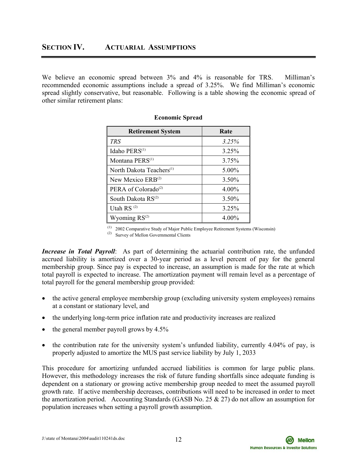We believe an economic spread between  $3\%$  and  $4\%$  is reasonable for TRS. Milliman's recommended economic assumptions include a spread of 3.25%. We find Milliman's economic spread slightly conservative, but reasonable. Following is a table showing the economic spread of other similar retirement plans:

| <b>Retirement System</b>             | Rate     |
|--------------------------------------|----------|
| <b>TRS</b>                           | 3.25%    |
| Idaho PERS <sup>(1)</sup>            | $3.25\%$ |
| Montana PERS <sup>(1)</sup>          | 3.75%    |
| North Dakota Teachers <sup>(1)</sup> | $5.00\%$ |
| New Mexico ERB <sup>(2)</sup>        | $3.50\%$ |
| PERA of Colorado <sup>(2)</sup>      | $4.00\%$ |
| South Dakota RS <sup>(2)</sup>       | 3.50%    |
| Utah RS <sup>(2)</sup>               | 3.25%    |
| Wyoming $RS^{(2)}$                   | 4.00%    |

| <b>Economic Spread</b> |  |
|------------------------|--|
|------------------------|--|

(1) 2002 Comparative Study of Major Public Employee Retirement Systems (Wisconsin) (2) Survey of Mellon Governmental Clients

*Increase in Total Payroll*: As part of determining the actuarial contribution rate, the unfunded accrued liability is amortized over a 30-year period as a level percent of pay for the general membership group. Since pay is expected to increase, an assumption is made for the rate at which total payroll is expected to increase. The amortization payment will remain level as a percentage of total payroll for the general membership group provided:

- the active general employee membership group (excluding university system employees) remains at a constant or stationary level, and
- the underlying long-term price inflation rate and productivity increases are realized
- the general member payroll grows by 4.5%
- the contribution rate for the university system's unfunded liability, currently 4.04% of pay, is properly adjusted to amortize the MUS past service liability by July 1, 2033

This procedure for amortizing unfunded accrued liabilities is common for large public plans. However, this methodology increases the risk of future funding shortfalls since adequate funding is dependent on a stationary or growing active membership group needed to meet the assumed payroll growth rate. If active membership decreases, contributions will need to be increased in order to meet the amortization period. Accounting Standards (GASB No. 25  $\&$  27) do not allow an assumption for population increases when setting a payroll growth assumption.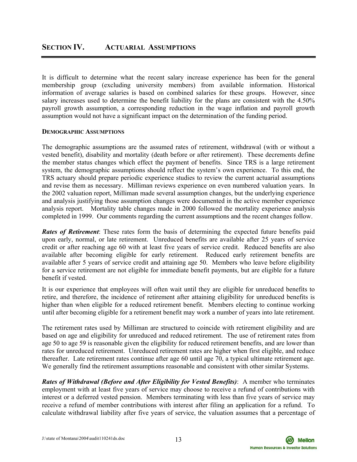It is difficult to determine what the recent salary increase experience has been for the general membership group (excluding university members) from available information. Historical information of average salaries is based on combined salaries for these groups. However, since salary increases used to determine the benefit liability for the plans are consistent with the 4.50% payroll growth assumption, a corresponding reduction in the wage inflation and payroll growth assumption would not have a significant impact on the determination of the funding period.

# **DEMOGRAPHIC ASSUMPTIONS**

The demographic assumptions are the assumed rates of retirement, withdrawal (with or without a vested benefit), disability and mortality (death before or after retirement). These decrements define the member status changes which effect the payment of benefits. Since TRS is a large retirement system, the demographic assumptions should reflect the system's own experience. To this end, the TRS actuary should prepare periodic experience studies to review the current actuarial assumptions and revise them as necessary. Milliman reviews experience on even numbered valuation years. In the 2002 valuation report, Milliman made several assumption changes, but the underlying experience and analysis justifying those assumption changes were documented in the active member experience analysis report. Mortality table changes made in 2000 followed the mortality experience analysis completed in 1999. Our comments regarding the current assumptions and the recent changes follow.

*Rates of Retirement*: These rates form the basis of determining the expected future benefits paid upon early, normal, or late retirement. Unreduced benefits are available after 25 years of service credit or after reaching age 60 with at least five years of service credit. Reduced benefits are also available after becoming eligible for early retirement. Reduced early retirement benefits are available after 5 years of service credit and attaining age 50. Members who leave before eligibility for a service retirement are not eligible for immediate benefit payments, but are eligible for a future benefit if vested.

It is our experience that employees will often wait until they are eligible for unreduced benefits to retire, and therefore, the incidence of retirement after attaining eligibility for unreduced benefits is higher than when eligible for a reduced retirement benefit. Members electing to continue working until after becoming eligible for a retirement benefit may work a number of years into late retirement.

The retirement rates used by Milliman are structured to coincide with retirement eligibility and are based on age and eligibility for unreduced and reduced retirement. The use of retirement rates from age 50 to age 59 is reasonable given the eligibility for reduced retirement benefits, and are lower than rates for unreduced retirement. Unreduced retirement rates are higher when first eligible, and reduce thereafter. Late retirement rates continue after age 60 until age 70, a typical ultimate retirement age. We generally find the retirement assumptions reasonable and consistent with other similar Systems.

*Rates of Withdrawal (Before and After Eligibility for Vested Benefits)*: A member who terminates employment with at least five years of service may choose to receive a refund of contributions with interest or a deferred vested pension. Members terminating with less than five years of service may receive a refund of member contributions with interest after filing an application for a refund. To calculate withdrawal liability after five years of service, the valuation assumes that a percentage of

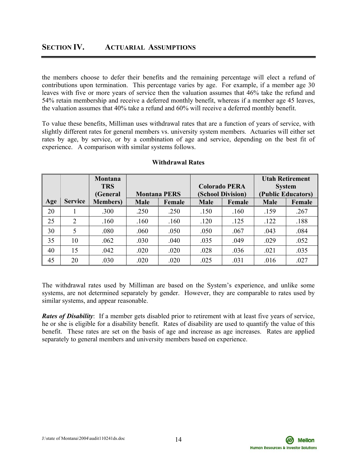the members choose to defer their benefits and the remaining percentage will elect a refund of contributions upon termination. This percentage varies by age. For example, if a member age 30 leaves with five or more years of service then the valuation assumes that 46% take the refund and 54% retain membership and receive a deferred monthly benefit, whereas if a member age 45 leaves, the valuation assumes that 40% take a refund and 60% will receive a deferred monthly benefit.

To value these benefits, Milliman uses withdrawal rates that are a function of years of service, with slightly different rates for general members vs. university system members. Actuaries will either set rates by age, by service, or by a combination of age and service, depending on the best fit of experience. A comparison with similar systems follows.

|     |                | Montana          |                     |        |             |                      |      | <b>Utah Retirement</b> |
|-----|----------------|------------------|---------------------|--------|-------------|----------------------|------|------------------------|
|     |                | <b>TRS</b>       |                     |        |             | <b>Colorado PERA</b> |      | <b>System</b>          |
|     |                | (General         | <b>Montana PERS</b> |        |             | (School Division)    |      | (Public Educators)     |
| Age | <b>Service</b> | <b>Members</b> ) | <b>Male</b>         | Female | <b>Male</b> | Female               |      | Female                 |
| 20  |                | .300             | .250                | .250   | .150        | .160                 | .159 | .267                   |
| 25  | 2              | .160             | .160                | .160   | .120        | .125                 | .122 | .188                   |
| 30  | 5              | .080             | .060                | .050   | .050        | .067                 | .043 | .084                   |
| 35  | 10             | .062             | .030                | .040   | .035        | .049                 | .029 | .052                   |
| 40  | 15             | .042             | .020                | .020   | .028        | .036                 | .021 | .035                   |
| 45  | 20             | .030             | .020                | .020   | .025        | .031                 | .016 | .027                   |

# **Withdrawal Rates**

The withdrawal rates used by Milliman are based on the System's experience, and unlike some systems, are not determined separately by gender. However, they are comparable to rates used by similar systems, and appear reasonable.

*Rates of Disability*: If a member gets disabled prior to retirement with at least five years of service, he or she is eligible for a disability benefit. Rates of disability are used to quantify the value of this benefit. These rates are set on the basis of age and increase as age increases. Rates are applied separately to general members and university members based on experience.

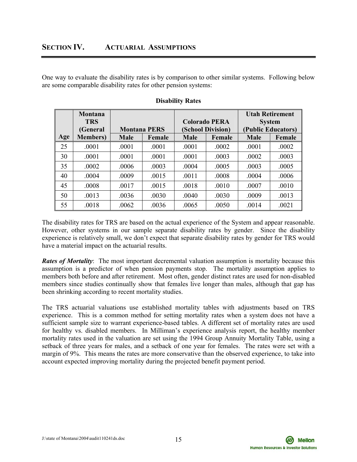One way to evaluate the disability rates is by comparison to other similar systems. Following below are some comparable disability rates for other pension systems:

|     | Montana<br><b>TRS</b> |             |                     | <b>Colorado PERA</b> |                   |             | <b>Utah Retirement</b><br><b>System</b> |
|-----|-----------------------|-------------|---------------------|----------------------|-------------------|-------------|-----------------------------------------|
|     | (General              |             | <b>Montana PERS</b> |                      | (School Division) |             | (Public Educators)                      |
| Age | <b>Members</b> )      | <b>Male</b> | Female              | <b>Male</b>          | Female            | <b>Male</b> | Female                                  |
| 25  | .0001                 | .0001       | .0001               | .0001                | .0002             | .0001       | .0002                                   |
| 30  | .0001                 | .0001       | .0001               | .0001                | .0003             | .0002       | .0003                                   |
| 35  | .0002                 | .0006       | .0003               | .0004                | .0005             | .0003       | .0005                                   |
| 40  | .0004                 | .0009       | .0015               | .0011                | .0008             | .0004       | .0006                                   |
| 45  | .0008                 | .0017       | .0015               | .0018                | .0010             | .0007       | .0010                                   |
| 50  | .0013                 | .0036       | .0030               | .0040                | .0030             | .0009       | .0013                                   |
| 55  | .0018                 | .0062       | .0036               | .0065                | .0050             | .0014       | .0021                                   |

# **Disability Rates**

The disability rates for TRS are based on the actual experience of the System and appear reasonable. However, other systems in our sample separate disability rates by gender. Since the disability experience is relatively small, we don't expect that separate disability rates by gender for TRS would have a material impact on the actuarial results.

*Rates of Mortality*: The most important decremental valuation assumption is mortality because this assumption is a predictor of when pension payments stop. The mortality assumption applies to members both before and after retirement. Most often, gender distinct rates are used for non-disabled members since studies continually show that females live longer than males, although that gap has been shrinking according to recent mortality studies.

The TRS actuarial valuations use established mortality tables with adjustments based on TRS experience. This is a common method for setting mortality rates when a system does not have a sufficient sample size to warrant experience-based tables. A different set of mortality rates are used for healthy vs. disabled members. In Milliman's experience analysis report, the healthy member mortality rates used in the valuation are set using the 1994 Group Annuity Mortality Table, using a setback of three years for males, and a setback of one year for females. The rates were set with a margin of 9%. This means the rates are more conservative than the observed experience, to take into account expected improving mortality during the projected benefit payment period.

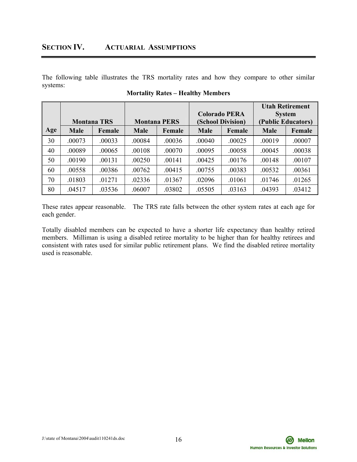# **SECTION IV. ACTUARIAL ASSUMPTIONS**

The following table illustrates the TRS mortality rates and how they compare to other similar systems:

|     |                    |        |                     |        |                                           |        |             | <b>Utah Retirement</b>              |
|-----|--------------------|--------|---------------------|--------|-------------------------------------------|--------|-------------|-------------------------------------|
|     | <b>Montana TRS</b> |        | <b>Montana PERS</b> |        | <b>Colorado PERA</b><br>(School Division) |        |             | <b>System</b><br>(Public Educators) |
| Age | <b>Male</b>        | Female | <b>Male</b>         | Female | <b>Male</b><br>Female                     |        | <b>Male</b> | Female                              |
| 30  | .00073             | .00033 | .00084              | .00036 | .00040                                    | .00025 | .00019      | .00007                              |
| 40  | .00089             | .00065 | .00108              | .00070 | .00095                                    | .00058 | .00045      | .00038                              |
| 50  | .00190             | .00131 | .00250              | .00141 | .00425                                    | .00176 | .00148      | .00107                              |
| 60  | .00558             | .00386 | .00762              | .00415 | .00755                                    | .00383 | .00532      | .00361                              |
| 70  | .01803             | .01271 | .02336              | .01367 | .02096                                    | .01061 | .01746      | .01265                              |
| 80  | .04517             | .03536 | .06007              | .03802 | .05505                                    | .03163 | .04393      | .03412                              |

**Mortality Rates – Healthy Members** 

These rates appear reasonable. The TRS rate falls between the other system rates at each age for each gender.

Totally disabled members can be expected to have a shorter life expectancy than healthy retired members. Milliman is using a disabled retiree mortality to be higher than for healthy retirees and consistent with rates used for similar public retirement plans. We find the disabled retiree mortality used is reasonable.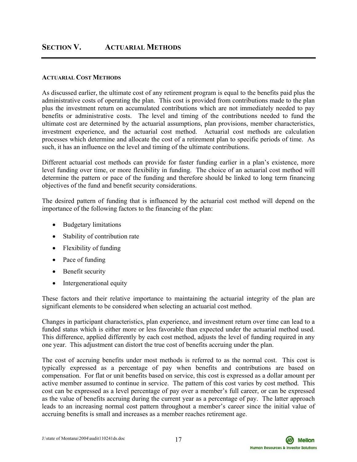# **SECTION V. ACTUARIAL METHODS**

#### **ACTUARIAL COST METHODS**

As discussed earlier, the ultimate cost of any retirement program is equal to the benefits paid plus the administrative costs of operating the plan. This cost is provided from contributions made to the plan plus the investment return on accumulated contributions which are not immediately needed to pay benefits or administrative costs. The level and timing of the contributions needed to fund the ultimate cost are determined by the actuarial assumptions, plan provisions, member characteristics, investment experience, and the actuarial cost method. Actuarial cost methods are calculation processes which determine and allocate the cost of a retirement plan to specific periods of time. As such, it has an influence on the level and timing of the ultimate contributions.

Different actuarial cost methods can provide for faster funding earlier in a plan's existence, more level funding over time, or more flexibility in funding. The choice of an actuarial cost method will determine the pattern or pace of the funding and therefore should be linked to long term financing objectives of the fund and benefit security considerations.

The desired pattern of funding that is influenced by the actuarial cost method will depend on the importance of the following factors to the financing of the plan:

- Budgetary limitations
- Stability of contribution rate
- Flexibility of funding
- Pace of funding
- Benefit security
- Intergenerational equity

These factors and their relative importance to maintaining the actuarial integrity of the plan are significant elements to be considered when selecting an actuarial cost method.

Changes in participant characteristics, plan experience, and investment return over time can lead to a funded status which is either more or less favorable than expected under the actuarial method used. This difference, applied differently by each cost method, adjusts the level of funding required in any one year. This adjustment can distort the true cost of benefits accruing under the plan.

The cost of accruing benefits under most methods is referred to as the normal cost. This cost is typically expressed as a percentage of pay when benefits and contributions are based on compensation. For flat or unit benefits based on service, this cost is expressed as a dollar amount per active member assumed to continue in service. The pattern of this cost varies by cost method. This cost can be expressed as a level percentage of pay over a member's full career, or can be expressed as the value of benefits accruing during the current year as a percentage of pay. The latter approach leads to an increasing normal cost pattern throughout a member's career since the initial value of accruing benefits is small and increases as a member reaches retirement age.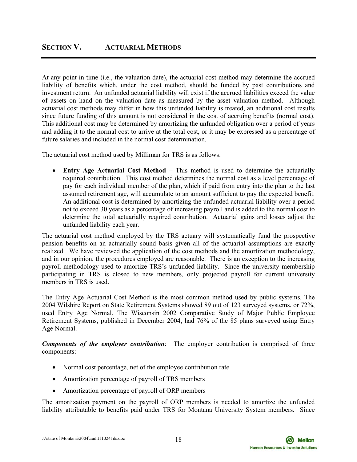At any point in time (i.e., the valuation date), the actuarial cost method may determine the accrued liability of benefits which, under the cost method, should be funded by past contributions and investment return. An unfunded actuarial liability will exist if the accrued liabilities exceed the value of assets on hand on the valuation date as measured by the asset valuation method. Although actuarial cost methods may differ in how this unfunded liability is treated, an additional cost results since future funding of this amount is not considered in the cost of accruing benefits (normal cost). This additional cost may be determined by amortizing the unfunded obligation over a period of years and adding it to the normal cost to arrive at the total cost, or it may be expressed as a percentage of future salaries and included in the normal cost determination.

The actuarial cost method used by Milliman for TRS is as follows:

• **Entry Age Actuarial Cost Method** – This method is used to determine the actuarially required contribution. This cost method determines the normal cost as a level percentage of pay for each individual member of the plan, which if paid from entry into the plan to the last assumed retirement age, will accumulate to an amount sufficient to pay the expected benefit. An additional cost is determined by amortizing the unfunded actuarial liability over a period not to exceed 30 years as a percentage of increasing payroll and is added to the normal cost to determine the total actuarially required contribution. Actuarial gains and losses adjust the unfunded liability each year.

The actuarial cost method employed by the TRS actuary will systematically fund the prospective pension benefits on an actuarially sound basis given all of the actuarial assumptions are exactly realized. We have reviewed the application of the cost methods and the amortization methodology, and in our opinion, the procedures employed are reasonable. There is an exception to the increasing payroll methodology used to amortize TRS's unfunded liability. Since the university membership participating in TRS is closed to new members, only projected payroll for current university members in TRS is used.

The Entry Age Actuarial Cost Method is the most common method used by public systems. The 2004 Wilshire Report on State Retirement Systems showed 89 out of 123 surveyed systems, or 72%, used Entry Age Normal. The Wisconsin 2002 Comparative Study of Major Public Employee Retirement Systems, published in December 2004, had 76% of the 85 plans surveyed using Entry Age Normal.

*Components of the employer contribution*: The employer contribution is comprised of three components:

- Normal cost percentage, net of the employee contribution rate
- Amortization percentage of payroll of TRS members
- Amortization percentage of payroll of ORP members

The amortization payment on the payroll of ORP members is needed to amortize the unfunded liability attributable to benefits paid under TRS for Montana University System members. Since

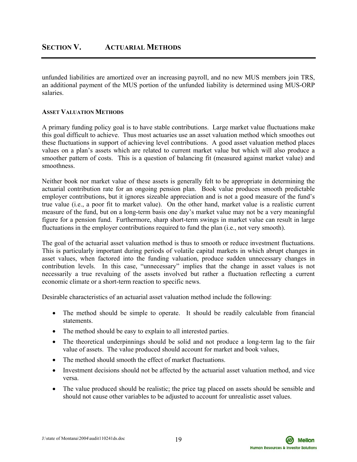unfunded liabilities are amortized over an increasing payroll, and no new MUS members join TRS, an additional payment of the MUS portion of the unfunded liability is determined using MUS-ORP salaries.

# **ASSET VALUATION METHODS**

A primary funding policy goal is to have stable contributions. Large market value fluctuations make this goal difficult to achieve. Thus most actuaries use an asset valuation method which smoothes out these fluctuations in support of achieving level contributions. A good asset valuation method places values on a plan's assets which are related to current market value but which will also produce a smoother pattern of costs. This is a question of balancing fit (measured against market value) and smoothness.

Neither book nor market value of these assets is generally felt to be appropriate in determining the actuarial contribution rate for an ongoing pension plan. Book value produces smooth predictable employer contributions, but it ignores sizeable appreciation and is not a good measure of the fund's true value (i.e., a poor fit to market value). On the other hand, market value is a realistic current measure of the fund, but on a long-term basis one day's market value may not be a very meaningful figure for a pension fund. Furthermore, sharp short-term swings in market value can result in large fluctuations in the employer contributions required to fund the plan (i.e., not very smooth).

The goal of the actuarial asset valuation method is thus to smooth or reduce investment fluctuations. This is particularly important during periods of volatile capital markets in which abrupt changes in asset values, when factored into the funding valuation, produce sudden unnecessary changes in contribution levels. In this case, "unnecessary" implies that the change in asset values is not necessarily a true revaluing of the assets involved but rather a fluctuation reflecting a current economic climate or a short-term reaction to specific news.

Desirable characteristics of an actuarial asset valuation method include the following:

- The method should be simple to operate. It should be readily calculable from financial statements.
- The method should be easy to explain to all interested parties.
- The theoretical underpinnings should be solid and not produce a long-term lag to the fair value of assets. The value produced should account for market and book values,
- The method should smooth the effect of market fluctuations.
- Investment decisions should not be affected by the actuarial asset valuation method, and vice versa.
- The value produced should be realistic; the price tag placed on assets should be sensible and should not cause other variables to be adjusted to account for unrealistic asset values.

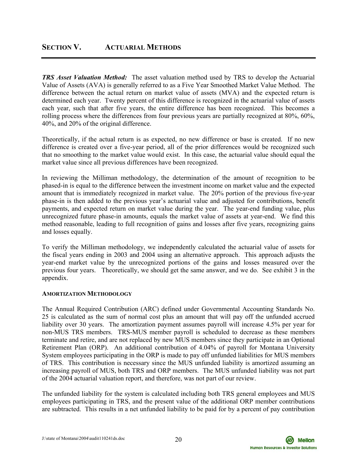*TRS Asset Valuation Method:* The asset valuation method used by TRS to develop the Actuarial Value of Assets (AVA) is generally referred to as a Five Year Smoothed Market Value Method. The difference between the actual return on market value of assets (MVA) and the expected return is determined each year. Twenty percent of this difference is recognized in the actuarial value of assets each year, such that after five years, the entire difference has been recognized. This becomes a rolling process where the differences from four previous years are partially recognized at 80%, 60%, 40%, and 20% of the original difference.

Theoretically, if the actual return is as expected, no new difference or base is created. If no new difference is created over a five-year period, all of the prior differences would be recognized such that no smoothing to the market value would exist. In this case, the actuarial value should equal the market value since all previous differences have been recognized.

In reviewing the Milliman methodology, the determination of the amount of recognition to be phased-in is equal to the difference between the investment income on market value and the expected amount that is immediately recognized in market value. The 20% portion of the previous five-year phase-in is then added to the previous year's actuarial value and adjusted for contributions, benefit payments, and expected return on market value during the year. The year-end funding value, plus unrecognized future phase-in amounts, equals the market value of assets at year-end. We find this method reasonable, leading to full recognition of gains and losses after five years, recognizing gains and losses equally.

To verify the Milliman methodology, we independently calculated the actuarial value of assets for the fiscal years ending in 2003 and 2004 using an alternative approach. This approach adjusts the year-end market value by the unrecognized portions of the gains and losses measured over the previous four years. Theoretically, we should get the same answer, and we do. See exhibit 3 in the appendix.

# **AMORTIZATION METHODOLOGY**

The Annual Required Contribution (ARC) defined under Governmental Accounting Standards No. 25 is calculated as the sum of normal cost plus an amount that will pay off the unfunded accrued liability over 30 years. The amortization payment assumes payroll will increase 4.5% per year for non-MUS TRS members. TRS-MUS member payroll is scheduled to decrease as these members terminate and retire, and are not replaced by new MUS members since they participate in an Optional Retirement Plan (ORP). An additional contribution of 4.04% of payroll for Montana University System employees participating in the ORP is made to pay off unfunded liabilities for MUS members of TRS. This contribution is necessary since the MUS unfunded liability is amortized assuming an increasing payroll of MUS, both TRS and ORP members. The MUS unfunded liability was not part of the 2004 actuarial valuation report, and therefore, was not part of our review.

The unfunded liability for the system is calculated including both TRS general employees and MUS employees participating in TRS, and the present value of the additional ORP member contributions are subtracted. This results in a net unfunded liability to be paid for by a percent of pay contribution

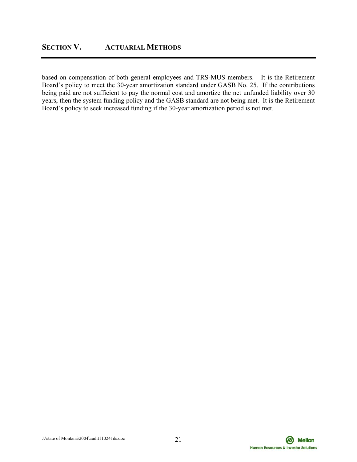based on compensation of both general employees and TRS-MUS members. It is the Retirement Board's policy to meet the 30-year amortization standard under GASB No. 25. If the contributions being paid are not sufficient to pay the normal cost and amortize the net unfunded liability over 30 years, then the system funding policy and the GASB standard are not being met. It is the Retirement Board's policy to seek increased funding if the 30-year amortization period is not met.

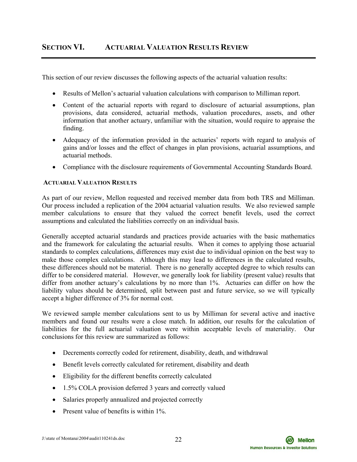This section of our review discusses the following aspects of the actuarial valuation results:

- Results of Mellon's actuarial valuation calculations with comparison to Milliman report.
- Content of the actuarial reports with regard to disclosure of actuarial assumptions, plan provisions, data considered, actuarial methods, valuation procedures, assets, and other information that another actuary, unfamiliar with the situation, would require to appraise the finding.
- Adequacy of the information provided in the actuaries' reports with regard to analysis of gains and/or losses and the effect of changes in plan provisions, actuarial assumptions, and actuarial methods.
- Compliance with the disclosure requirements of Governmental Accounting Standards Board.

# **ACTUARIAL VALUATION RESULTS**

As part of our review, Mellon requested and received member data from both TRS and Milliman. Our process included a replication of the 2004 actuarial valuation results. We also reviewed sample member calculations to ensure that they valued the correct benefit levels, used the correct assumptions and calculated the liabilities correctly on an individual basis.

Generally accepted actuarial standards and practices provide actuaries with the basic mathematics and the framework for calculating the actuarial results. When it comes to applying those actuarial standards to complex calculations, differences may exist due to individual opinion on the best way to make those complex calculations. Although this may lead to differences in the calculated results, these differences should not be material. There is no generally accepted degree to which results can differ to be considered material. However, we generally look for liability (present value) results that differ from another actuary's calculations by no more than 1%. Actuaries can differ on how the liability values should be determined, split between past and future service, so we will typically accept a higher difference of 3% for normal cost.

We reviewed sample member calculations sent to us by Milliman for several active and inactive members and found our results were a close match. In addition, our results for the calculation of liabilities for the full actuarial valuation were within acceptable levels of materiality. Our conclusions for this review are summarized as follows:

- Decrements correctly coded for retirement, disability, death, and withdrawal
- Benefit levels correctly calculated for retirement, disability and death
- Eligibility for the different benefits correctly calculated
- 1.5% COLA provision deferred 3 years and correctly valued
- Salaries properly annualized and projected correctly
- Present value of benefits is within 1%.

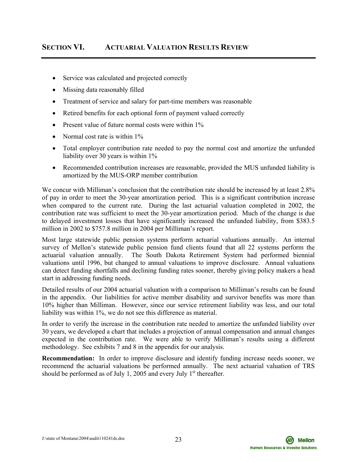# **SECTION VI. ACTUARIAL VALUATION RESULTS REVIEW**

- Service was calculated and projected correctly
- Missing data reasonably filled
- Treatment of service and salary for part-time members was reasonable
- Retired benefits for each optional form of payment valued correctly
- Present value of future normal costs were within 1%
- Normal cost rate is within 1%
- Total employer contribution rate needed to pay the normal cost and amortize the unfunded liability over 30 years is within 1%
- Recommended contribution increases are reasonable, provided the MUS unfunded liability is amortized by the MUS-ORP member contribution

We concur with Milliman's conclusion that the contribution rate should be increased by at least 2.8% of pay in order to meet the 30-year amortization period. This is a significant contribution increase when compared to the current rate. During the last actuarial valuation completed in 2002, the contribution rate was sufficient to meet the 30-year amortization period. Much of the change is due to delayed investment losses that have significantly increased the unfunded liability, from \$383.5 million in 2002 to \$757.8 million in 2004 per Milliman's report.

Most large statewide public pension systems perform actuarial valuations annually. An internal survey of Mellon's statewide public pension fund clients found that all 22 systems perform the actuarial valuation annually. The South Dakota Retirement System had performed biennial valuations until 1996, but changed to annual valuations to improve disclosure. Annual valuations can detect funding shortfalls and declining funding rates sooner, thereby giving policy makers a head start in addressing funding needs.

Detailed results of our 2004 actuarial valuation with a comparison to Milliman's results can be found in the appendix. Our liabilities for active member disability and survivor benefits was more than 10% higher than Milliman. However, since our service retirement liability was less, and our total liability was within 1%, we do not see this difference as material.

In order to verify the increase in the contribution rate needed to amortize the unfunded liability over 30 years, we developed a chart that includes a projection of annual compensation and annual changes expected in the contribution rate. We were able to verify Milliman's results using a different methodology. See exhibits 7 and 8 in the appendix for our analysis.

**Recommendation:** In order to improve disclosure and identify funding increase needs sooner, we recommend the actuarial valuations be performed annually. The next actuarial valuation of TRS should be performed as of July 1, 2005 and every July  $1<sup>st</sup>$  thereafter.



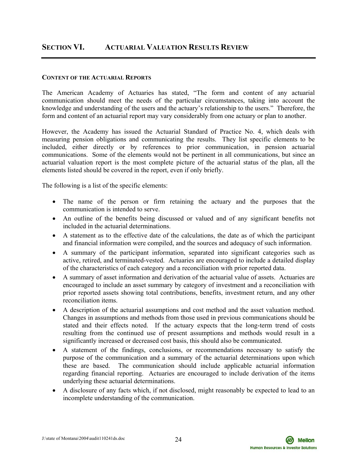# **SECTION VI. ACTUARIAL VALUATION RESULTS REVIEW**

#### **CONTENT OF THE ACTUARIAL REPORTS**

The American Academy of Actuaries has stated, "The form and content of any actuarial communication should meet the needs of the particular circumstances, taking into account the knowledge and understanding of the users and the actuary's relationship to the users." Therefore, the form and content of an actuarial report may vary considerably from one actuary or plan to another.

However, the Academy has issued the Actuarial Standard of Practice No. 4, which deals with measuring pension obligations and communicating the results. They list specific elements to be included, either directly or by references to prior communication, in pension actuarial communications. Some of the elements would not be pertinent in all communications, but since an actuarial valuation report is the most complete picture of the actuarial status of the plan, all the elements listed should be covered in the report, even if only briefly.

The following is a list of the specific elements:

- The name of the person or firm retaining the actuary and the purposes that the communication is intended to serve.
- An outline of the benefits being discussed or valued and of any significant benefits not included in the actuarial determinations.
- A statement as to the effective date of the calculations, the date as of which the participant and financial information were compiled, and the sources and adequacy of such information.
- A summary of the participant information, separated into significant categories such as active, retired, and terminated-vested. Actuaries are encouraged to include a detailed display of the characteristics of each category and a reconciliation with prior reported data.
- A summary of asset information and derivation of the actuarial value of assets. Actuaries are encouraged to include an asset summary by category of investment and a reconciliation with prior reported assets showing total contributions, benefits, investment return, and any other reconciliation items.
- A description of the actuarial assumptions and cost method and the asset valuation method. Changes in assumptions and methods from those used in previous communications should be stated and their effects noted. If the actuary expects that the long-term trend of costs resulting from the continued use of present assumptions and methods would result in a significantly increased or decreased cost basis, this should also be communicated.
- A statement of the findings, conclusions, or recommendations necessary to satisfy the purpose of the communication and a summary of the actuarial determinations upon which these are based. The communication should include applicable actuarial information regarding financial reporting. Actuaries are encouraged to include derivation of the items underlying these actuarial determinations.
- A disclosure of any facts which, if not disclosed, might reasonably be expected to lead to an incomplete understanding of the communication.

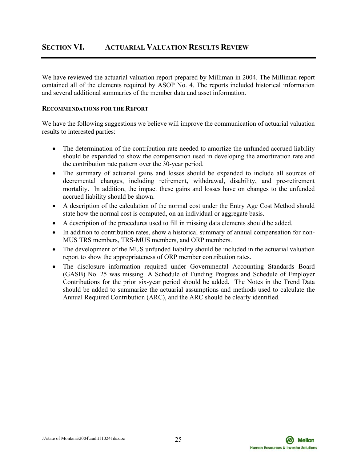We have reviewed the actuarial valuation report prepared by Milliman in 2004. The Milliman report contained all of the elements required by ASOP No. 4. The reports included historical information and several additional summaries of the member data and asset information.

### **RECOMMENDATIONS FOR THE REPORT**

We have the following suggestions we believe will improve the communication of actuarial valuation results to interested parties:

- The determination of the contribution rate needed to amortize the unfunded accrued liability should be expanded to show the compensation used in developing the amortization rate and the contribution rate pattern over the 30-year period.
- The summary of actuarial gains and losses should be expanded to include all sources of decremental changes, including retirement, withdrawal, disability, and pre-retirement mortality. In addition, the impact these gains and losses have on changes to the unfunded accrued liability should be shown.
- A description of the calculation of the normal cost under the Entry Age Cost Method should state how the normal cost is computed, on an individual or aggregate basis.
- A description of the procedures used to fill in missing data elements should be added.
- In addition to contribution rates, show a historical summary of annual compensation for non-MUS TRS members, TRS-MUS members, and ORP members.
- The development of the MUS unfunded liability should be included in the actuarial valuation report to show the appropriateness of ORP member contribution rates.
- The disclosure information required under Governmental Accounting Standards Board (GASB) No. 25 was missing. A Schedule of Funding Progress and Schedule of Employer Contributions for the prior six-year period should be added. The Notes in the Trend Data should be added to summarize the actuarial assumptions and methods used to calculate the Annual Required Contribution (ARC), and the ARC should be clearly identified.

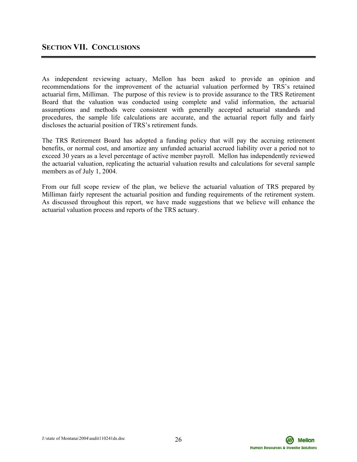As independent reviewing actuary, Mellon has been asked to provide an opinion and recommendations for the improvement of the actuarial valuation performed by TRS's retained actuarial firm, Milliman. The purpose of this review is to provide assurance to the TRS Retirement Board that the valuation was conducted using complete and valid information, the actuarial assumptions and methods were consistent with generally accepted actuarial standards and procedures, the sample life calculations are accurate, and the actuarial report fully and fairly discloses the actuarial position of TRS's retirement funds.

The TRS Retirement Board has adopted a funding policy that will pay the accruing retirement benefits, or normal cost, and amortize any unfunded actuarial accrued liability over a period not to exceed 30 years as a level percentage of active member payroll. Mellon has independently reviewed the actuarial valuation, replicating the actuarial valuation results and calculations for several sample members as of July 1, 2004.

From our full scope review of the plan, we believe the actuarial valuation of TRS prepared by Milliman fairly represent the actuarial position and funding requirements of the retirement system. As discussed throughout this report, we have made suggestions that we believe will enhance the actuarial valuation process and reports of the TRS actuary.



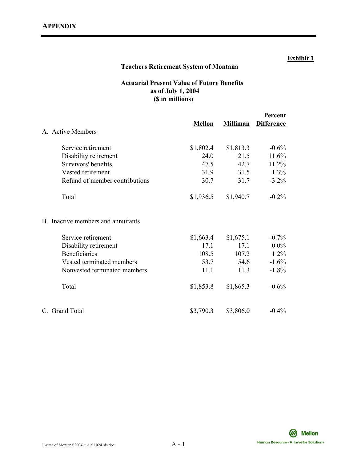# **Teachers Retirement System of Montana**

# **Actuarial Present Value of Future Benefits as of July 1, 2004 (\$ in millions)**

|                                    |               |                 | Percent           |
|------------------------------------|---------------|-----------------|-------------------|
| A. Active Members                  | <b>Mellon</b> | <b>Milliman</b> | <b>Difference</b> |
| Service retirement                 | \$1,802.4     | \$1,813.3       | $-0.6%$           |
| Disability retirement              | 24.0          | 21.5            | 11.6%             |
| Survivors' benefits                | 47.5          | 42.7            | 11.2%             |
| Vested retirement                  | 31.9          | 31.5            | 1.3%              |
| Refund of member contributions     | 30.7          | 31.7            | $-3.2%$           |
| Total                              | \$1,936.5     | \$1,940.7       | $-0.2\%$          |
| B. Inactive members and annuitants |               |                 |                   |
| Service retirement                 | \$1,663.4     | \$1,675.1       | $-0.7\%$          |
| Disability retirement              | 17.1          | 17.1            | $0.0\%$           |
| <b>Beneficiaries</b>               | 108.5         | 107.2           | $1.2\%$           |
| Vested terminated members          | 53.7          | 54.6            | $-1.6%$           |
| Nonvested terminated members       | 11.1          | 11.3            | $-1.8%$           |
| Total                              | \$1,853.8     | \$1,865.3       | $-0.6%$           |
| C. Grand Total                     | \$3,790.3     | \$3,806.0       | $-0.4\%$          |

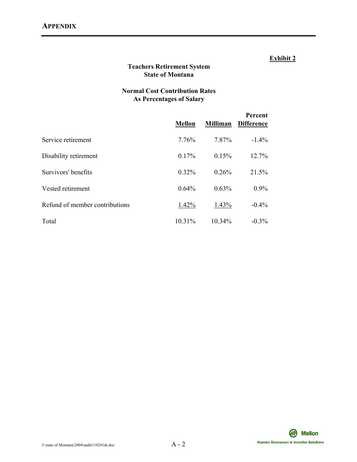# **Teachers Retirement System State of Montana**

# **Normal Cost Contribution Rates As Percentages of Salary**

|                                | <b>Mellon</b> | <b>Milliman</b> | Percent<br><b>Difference</b> |
|--------------------------------|---------------|-----------------|------------------------------|
| Service retirement             | 7.76%         | 7.87%           | $-1.4\%$                     |
| Disability retirement          | 0.17%         | 0.15%           | 12.7%                        |
| Survivors' benefits            | $0.32\%$      | 0.26%           | 21.5%                        |
| Vested retirement              | 0.64%         | 0.63%           | $0.9\%$                      |
| Refund of member contributions | 1.42%         | 1.43%           | $-0.4\%$                     |
| Total                          | $10.31\%$     | 10.34%          | $-0.3\%$                     |

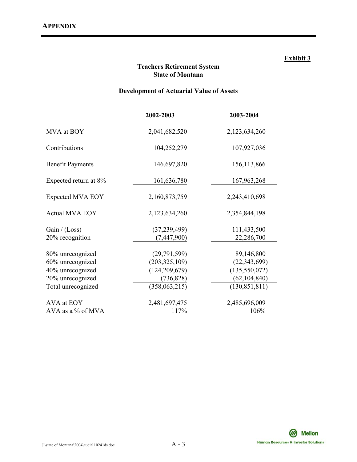# **Teachers Retirement System State of Montana**

# **Development of Actuarial Value of Assets**

|                                                                                                    | 2002-2003                                                                         | 2003-2004                                                                            |
|----------------------------------------------------------------------------------------------------|-----------------------------------------------------------------------------------|--------------------------------------------------------------------------------------|
| MVA at BOY                                                                                         | 2,041,682,520                                                                     | 2,123,634,260                                                                        |
| Contributions                                                                                      | 104,252,279                                                                       | 107,927,036                                                                          |
| <b>Benefit Payments</b>                                                                            | 146,697,820                                                                       | 156, 113, 866                                                                        |
| Expected return at 8%                                                                              | 161,636,780                                                                       | 167,963,268                                                                          |
| <b>Expected MVA EOY</b>                                                                            | 2,160,873,759                                                                     | 2,243,410,698                                                                        |
| <b>Actual MVA EOY</b>                                                                              | 2,123,634,260                                                                     | 2,354,844,198                                                                        |
| Gain / (Loss)<br>20% recognition                                                                   | (37, 239, 499)<br>(7,447,900)                                                     | 111,433,500<br>22,286,700                                                            |
| 80% unrecognized<br>60% unrecognized<br>40% unrecognized<br>20% unrecognized<br>Total unrecognized | (29,791,599)<br>(203, 325, 109)<br>(124, 209, 679)<br>(736, 828)<br>(358,063,215) | 89,146,800<br>(22, 343, 699)<br>(135, 550, 072)<br>(62, 104, 840)<br>(130, 851, 811) |
| AVA at EOY<br>AVA as a $\%$ of MVA                                                                 | 2,481,697,475<br>117%                                                             | 2,485,696,009<br>106%                                                                |

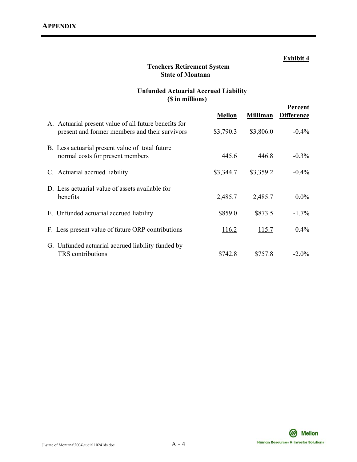# **Teachers Retirement System State of Montana**

# **Unfunded Actuarial Accrued Liability (\$ in millions)**

|                                                                                                         |               |                 | Percent           |
|---------------------------------------------------------------------------------------------------------|---------------|-----------------|-------------------|
|                                                                                                         | <b>Mellon</b> | <b>Milliman</b> | <b>Difference</b> |
| A. Actuarial present value of all future benefits for<br>present and former members and their survivors | \$3,790.3     | \$3,806.0       | $-0.4\%$          |
| B. Less actuarial present value of total future<br>normal costs for present members                     | 445.6         | 446.8           | $-0.3\%$          |
| C. Actuarial accrued liability                                                                          | \$3,344.7     | \$3,359.2       | $-0.4\%$          |
| D. Less actuarial value of assets available for<br>benefits                                             | 2,485.7       | 2,485.7         | $0.0\%$           |
| E. Unfunded actuarial accrued liability                                                                 | \$859.0       | \$873.5         | $-1.7\%$          |
| F. Less present value of future ORP contributions                                                       | 116.2         | 115.7           | $0.4\%$           |
| G. Unfunded actuarial accrued liability funded by<br><b>TRS</b> contributions                           | \$742.8       | \$757.8         | $-2.0\%$          |

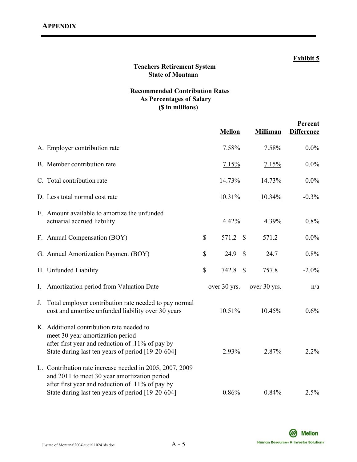# **Teachers Retirement System State of Montana**

# **Recommended Contribution Rates As Percentages of Salary (\$ in millions)**

|                                                                                                                                                                                                                   |      | <b>Mellon</b>          | <b>Milliman</b> | Percent<br><b>Difference</b> |
|-------------------------------------------------------------------------------------------------------------------------------------------------------------------------------------------------------------------|------|------------------------|-----------------|------------------------------|
| A. Employer contribution rate                                                                                                                                                                                     |      | 7.58%                  | 7.58%           | $0.0\%$                      |
| B. Member contribution rate                                                                                                                                                                                       |      | 7.15%                  | 7.15%           | $0.0\%$                      |
| C. Total contribution rate                                                                                                                                                                                        |      | 14.73%                 | 14.73%          | $0.0\%$                      |
| D. Less total normal cost rate                                                                                                                                                                                    |      | 10.31%                 | 10.34%          | $-0.3%$                      |
| E. Amount available to amortize the unfunded<br>actuarial accrued liability                                                                                                                                       |      | 4.42%                  | 4.39%           | 0.8%                         |
| F. Annual Compensation (BOY)                                                                                                                                                                                      | \$   | 571.2 \$               | 571.2           | $0.0\%$                      |
| G. Annual Amortization Payment (BOY)                                                                                                                                                                              | \$   | 24.9<br>$\mathbb{S}$   | 24.7            | 0.8%                         |
| H. Unfunded Liability                                                                                                                                                                                             | $\$$ | 742.8<br>$\mathcal{S}$ | 757.8           | $-2.0%$                      |
| Amortization period from Valuation Date<br>I.                                                                                                                                                                     |      | over 30 yrs.           | over 30 yrs.    | n/a                          |
| Total employer contribution rate needed to pay normal<br>J.<br>cost and amortize unfunded liability over 30 years                                                                                                 |      | 10.51%                 | 10.45%          | 0.6%                         |
| K. Additional contribution rate needed to<br>meet 30 year amortization period<br>after first year and reduction of .11% of pay by<br>State during last ten years of period [19-20-604]                            |      | 2.93%                  | 2.87%           | 2.2%                         |
| L. Contribution rate increase needed in 2005, 2007, 2009<br>and 2011 to meet 30 year amortization period<br>after first year and reduction of .11% of pay by<br>State during last ten years of period [19-20-604] |      | 0.86%                  | 0.84%           | 2.5%                         |

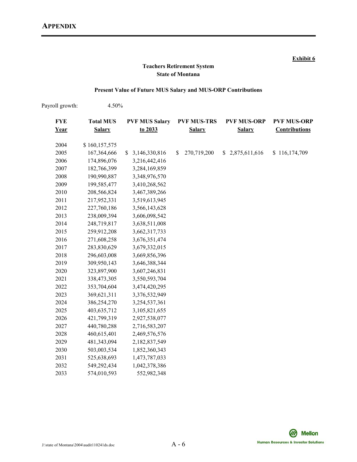#### **Exhibit 6 Exhibit 6**

# **Teachers Retirement System State of Montana**

### **Present Value of Future MUS Salary and MUS-ORP Contributions**

| Payroll growth:    | 4.50%                             |                                  |                                     |                                     |                                            |
|--------------------|-----------------------------------|----------------------------------|-------------------------------------|-------------------------------------|--------------------------------------------|
| <b>FYE</b><br>Year | <b>Total MUS</b><br><b>Salary</b> | <b>PVF MUS Salary</b><br>to 2033 | <b>PVF MUS-TRS</b><br><b>Salary</b> | <b>PVF MUS-ORP</b><br><b>Salary</b> | <b>PVF MUS-ORP</b><br><b>Contributions</b> |
|                    |                                   |                                  |                                     |                                     |                                            |
| 2004               | \$160,157,575                     |                                  |                                     |                                     |                                            |
| 2005               | 167,364,666                       | \$3,146,330,816                  | 270,719,200<br>S.                   | \$2,875,611,616                     | \$116,174,709                              |
| 2006               | 174,896,076                       | 3,216,442,416                    |                                     |                                     |                                            |
| 2007               | 182,766,399                       | 3,284,169,859                    |                                     |                                     |                                            |
| 2008               | 190,990,887                       | 3,348,976,570                    |                                     |                                     |                                            |
| 2009               | 199,585,477                       | 3,410,268,562                    |                                     |                                     |                                            |
| 2010               | 208,566,824                       | 3,467,389,266                    |                                     |                                     |                                            |
| 2011               | 217,952,331                       | 3,519,613,945                    |                                     |                                     |                                            |
| 2012               | 227,760,186                       | 3,566,143,628                    |                                     |                                     |                                            |
| 2013               | 238,009,394                       | 3,606,098,542                    |                                     |                                     |                                            |
| 2014               | 248,719,817                       | 3,638,511,008                    |                                     |                                     |                                            |
| 2015               | 259,912,208                       | 3,662,317,733                    |                                     |                                     |                                            |
| 2016               | 271,608,258                       | 3,676,351,474                    |                                     |                                     |                                            |
| 2017               | 283,830,629                       | 3,679,332,015                    |                                     |                                     |                                            |
| 2018               | 296,603,008                       | 3,669,856,396                    |                                     |                                     |                                            |
| 2019               | 309,950,143                       | 3,646,388,344                    |                                     |                                     |                                            |
| 2020               | 323,897,900                       | 3,607,246,831                    |                                     |                                     |                                            |
| 2021               | 338,473,305                       | 3,550,593,704                    |                                     |                                     |                                            |
| 2022               | 353,704,604                       | 3,474,420,295                    |                                     |                                     |                                            |
| 2023               | 369,621,311                       | 3,376,532,949                    |                                     |                                     |                                            |
| 2024               | 386,254,270                       | 3,254,537,361                    |                                     |                                     |                                            |
| 2025               | 403,635,712                       | 3,105,821,655                    |                                     |                                     |                                            |
| 2026               | 421,799,319                       | 2,927,538,077                    |                                     |                                     |                                            |
| 2027               | 440,780,288                       | 2,716,583,207                    |                                     |                                     |                                            |
| 2028               | 460,615,401                       | 2,469,576,576                    |                                     |                                     |                                            |
| 2029               | 481,343,094                       | 2,182,837,549                    |                                     |                                     |                                            |
| 2030               | 503,003,534                       | 1,852,360,343                    |                                     |                                     |                                            |
| 2031               | 525,638,693                       | 1,473,787,033                    |                                     |                                     |                                            |
| 2032               | 549,292,434                       | 1,042,378,386                    |                                     |                                     |                                            |
| 2033               | 574,010,593                       | 552,982,348                      |                                     |                                     |                                            |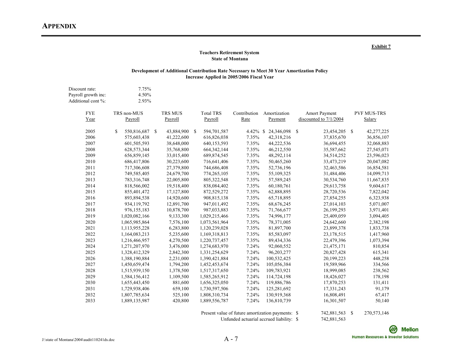#### **Teachers Retirement System State of Montana**

#### **Development of Additional Contribution Rate Necessary to Meet 30 Year Amortization Policy Increase Applied in 2005/2006 Fiscal Year**

| Discount rate:<br>Payroll growth inc:<br>Additional cont %: | 7.75%<br>4.50%<br>2.93% |            |                              |              |              |                        |                             |
|-------------------------------------------------------------|-------------------------|------------|------------------------------|--------------|--------------|------------------------|-----------------------------|
| <b>FYE</b>                                                  | TRS non-MUS             | TRS MUS    | <b>Total TRS</b>             | Contribution | Amortization | <b>Amort Payment</b>   | <b>PVF MUS-TRS</b>          |
| Year                                                        | Payroll                 | Payroll    | Payroll                      | Rate         | Payment      | discounted to 7/1/2004 | Salary                      |
| 2005                                                        | \$<br>550,816,687 \$    | 43,884,900 | $\mathcal{S}$<br>594,701,587 | $4.42\%$ \$  | 24,346,098   | - \$<br>23,454,205     | <sup>\$</sup><br>42,277,225 |
| 2006                                                        | 575,603,438             | 41,222,600 | 616,826,038                  | 7.35%        | 42,318,216   | 37,835,670             | 36,856,107                  |
| 2007                                                        | 601,505,593             | 38,648,000 | 640, 153, 593                | 7.35%        | 44,222,536   | 36,694,455             | 32,068,883                  |
| 2008                                                        | 628, 573, 344           | 35,768,800 | 664, 342, 144                | 7.35%        | 46,212,550   | 35,587,662             | 27,545,071                  |
| 2009                                                        | 656,859,145             | 33,015,400 | 689, 874, 545                | 7.35%        | 48,292,114   | 34,514,252             | 23,596,023                  |
| 2010                                                        | 686,417,806             | 30,223,600 | 716,641,406                  | 7.35%        | 50,465,260   | 33,473,219             | 20,047,082                  |
| 2011                                                        | 717,306,608             | 27,379,800 | 744,686,408                  | 7.35%        | 52,736,196   | 32,463,586             | 16,854,581                  |
| 2012                                                        | 749,585,405             | 24,679,700 | 774,265,105                  | 7.35%        | 55,109,325   | 31,484,406             | 14,099,713                  |
| 2013                                                        | 783,316,748             | 22,005,800 | 805,322,548                  | 7.35%        | 57,589,245   | 30,534,760             | 11,667,835                  |
| 2014                                                        | 818,566,002             | 19,518,400 | 838,084,402                  | 7.35%        | 60,180,761   | 29,613,758             | 9,604,617                   |
| 2015                                                        | 855,401,472             | 17,127,800 | 872,529,272                  | 7.35%        | 62,888,895   | 28,720,536             | 7,822,042                   |
| 2016                                                        | 893,894,538             | 14,920,600 | 908,815,138                  | 7.35%        | 65,718,895   | 27,854,255             | 6,323,938                   |
| 2017                                                        | 934,119,792             | 12,891,700 | 947,011,492                  | 7.35%        | 68,676,245   | 27,014,103             | 5,071,007                   |
| 2018                                                        | 976,155,183             | 10,878,700 | 987,033,883                  | 7.35%        | 71,766,677   | 26,199,293             | 3,971,401                   |
| 2019                                                        | 1,020,082,166           | 9,133,300  | 1,029,215,466                | 7.35%        | 74,996,177   | 25,409,059             | 3,094,405                   |
| 2020                                                        | 1,065,985,864           | 7,576,100  | 1,073,561,964                | 7.35%        | 78,371,005   | 24,642,660             | 2,382,198                   |
| 2021                                                        | 1,113,955,228           | 6,283,800  | 1,120,239,028                | 7.35%        | 81,897,700   | 23,899,378             | 1,833,738                   |
| 2022                                                        | 1,164,083,213           | 5,235,600  | 1,169,318,813                | 7.35%        | 85,583,097   | 23,178,515             | 1,417,960                   |
| 2023                                                        | 1,216,466,957           | 4,270,500  | 1,220,737,457                | 7.35%        | 89,434,336   | 22,479,396             | 1,073,394                   |
| 2024                                                        | 1,271,207,970           | 3,476,000  | 1,274,683,970                | 7.24%        | 92,060,552   | 21,475,171             | 810,854                     |
| 2025                                                        | 1,328,412,329           | 2,842,300  | 1,331,254,629                | 7.24%        | 96,203,277   | 20,827,428             | 615,341                     |
| 2026                                                        | 1,388,190,884           | 2,231,000  | 1,390,421,884                | 7.24%        | 100,532,425  | 20,199,223             | 448,258                     |
| 2027                                                        | 1,450,659,474           | 1,794,200  | 1,452,453,674                | 7.24%        | 105,056,384  | 19,589,966             | 334,566                     |
| 2028                                                        | 1,515,939,150           | 1,378,500  | 1,517,317,650                | 7.24%        | 109,783,921  | 18,999,085             | 238,562                     |
| 2029                                                        | 1,584,156,412           | 1,109,500  | 1,585,265,912                | 7.24%        | 114,724,198  | 18,426,027             | 178,198                     |
| 2030                                                        | 1,655,443,450           | 881,600    | 1,656,325,050                | 7.24%        | 119,886,786  | 17,870,253             | 131,411                     |
| 2031                                                        | 1,729,938,406           | 659,100    | 1,730,597,506                | 7.24%        | 125,281,692  | 17,331,243             | 91,179                      |
| 2032                                                        | 1,807,785,634           | 525,100    | 1,808,310,734                | 7.24%        | 130,919,368  | 16,808,491             | 67,417                      |
| 2033                                                        | 1,889,135,987           | 420,800    | 1,889,556,787                | 7.24%        | 136,810,739  | 16,301,507             | 50,140                      |

Present value of future amortization payments: \$ 742,881,563 \$ 270,573,146

Unfunded actuarial accrued liability: \$ 742,881,563



#### **Exhibit 7**